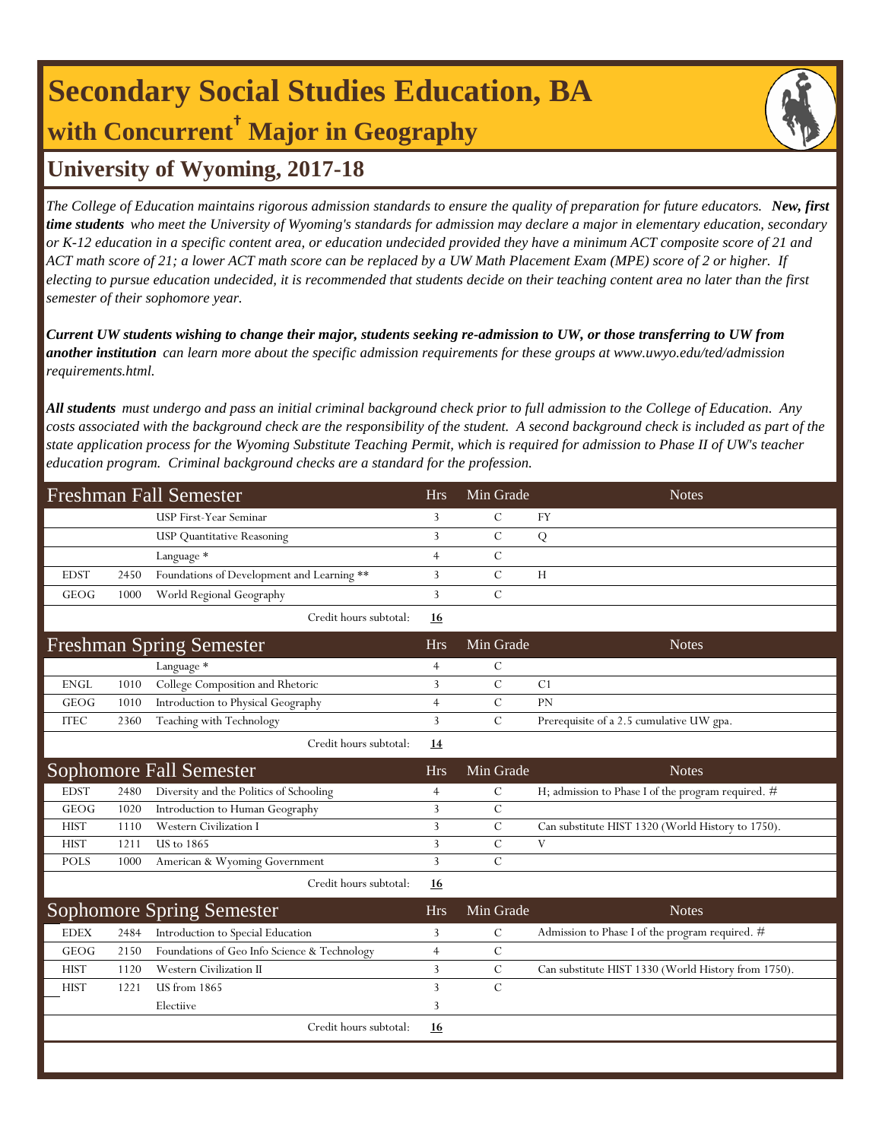# **Secondary Social Studies Education, BA with Concurrent† Major in Geography**

### **University of Wyoming, 2017-18**

*The College of Education maintains rigorous admission standards to ensure the quality of preparation for future educators. New, first time students who meet the University of Wyoming's standards for admission may declare a major in elementary education, secondary or K-12 education in a specific content area, or education undecided provided they have a minimum ACT composite score of 21 and ACT math score of 21; a lower ACT math score can be replaced by a UW Math Placement Exam (MPE) score of 2 or higher. If electing to pursue education undecided, it is recommended that students decide on their teaching content area no later than the first semester of their sophomore year.*

*Current UW students wishing to change their major, students seeking re-admission to UW, or those transferring to UW from another institution can learn more about the specific admission requirements for these groups at www.uwyo.edu/ted/admission requirements.html.* 

*All students must undergo and pass an initial criminal background check prior to full admission to the College of Education. Any costs associated with the background check are the responsibility of the student. A second background check is included as part of the state application process for the Wyoming Substitute Teaching Permit, which is required for admission to Phase II of UW's teacher education program. Criminal background checks are a standard for the profession.*

|             |      | <b>Freshman Fall Semester</b>                | <b>Hrs</b>     | Min Grade     | <b>Notes</b>                                         |
|-------------|------|----------------------------------------------|----------------|---------------|------------------------------------------------------|
|             |      | <b>USP First-Year Seminar</b>                | 3              | $\mathcal{C}$ | <b>FY</b>                                            |
|             |      | <b>USP Quantitative Reasoning</b>            | 3              | $\mathcal{C}$ | Q                                                    |
|             |      | Language *                                   | $\overline{4}$ | $\mathcal{C}$ |                                                      |
| <b>EDST</b> | 2450 | Foundations of Development and Learning **   | 3              | $\mathcal{C}$ | H                                                    |
| GEOG        | 1000 | World Regional Geography                     | $\overline{3}$ | $\mathcal{C}$ |                                                      |
|             |      | Credit hours subtotal:                       | <u>16</u>      |               |                                                      |
|             |      | <b>Freshman Spring Semester</b>              | <b>Hrs</b>     | Min Grade     | <b>Notes</b>                                         |
|             |      | Language *                                   | $\overline{4}$ | $\mathcal{C}$ |                                                      |
| <b>ENGL</b> | 1010 | College Composition and Rhetoric             | 3              | $\mathcal{C}$ | C <sub>1</sub>                                       |
| GEOG        | 1010 | Introduction to Physical Geography           | $\overline{4}$ | $\mathcal{C}$ | PN                                                   |
| <b>ITEC</b> | 2360 | Teaching with Technology                     | 3              | $\mathcal{C}$ | Prerequisite of a 2.5 cumulative UW gpa.             |
|             |      | Credit hours subtotal:                       | <u>14</u>      |               |                                                      |
|             |      | Sophomore Fall Semester                      | <b>Hrs</b>     | Min Grade     | <b>Notes</b>                                         |
| <b>EDST</b> | 2480 | Diversity and the Politics of Schooling      | 4              | $\mathcal{C}$ | H; admission to Phase I of the program required. $#$ |
| GEOG        | 1020 | Introduction to Human Geography              | 3              | $\mathcal{C}$ |                                                      |
| <b>HIST</b> | 1110 | Western Civilization I                       | 3              | $\mathcal{C}$ | Can substitute HIST 1320 (World History to 1750).    |
| <b>HIST</b> | 1211 | <b>US</b> to 1865                            | 3              | $\mathbf C$   | V                                                    |
| <b>POLS</b> | 1000 | American & Wyoming Government                | $\overline{3}$ | $\mathcal{C}$ |                                                      |
|             |      | Credit hours subtotal:                       | <u>16</u>      |               |                                                      |
|             |      | <b>Sophomore Spring Semester</b>             | <b>Hrs</b>     | Min Grade     | <b>Notes</b>                                         |
| <b>EDEX</b> | 2484 | Introduction to Special Education            | 3              | $\mathcal{C}$ | Admission to Phase I of the program required. $#$    |
| GEOG        | 2150 | Foundations of Geo Info Science & Technology | $\overline{4}$ | $\mathsf{C}$  |                                                      |
| <b>HIST</b> | 1120 | Western Civilization II                      | 3              | $\mathcal{C}$ | Can substitute HIST 1330 (World History from 1750).  |
| <b>HIST</b> | 1221 | <b>US</b> from 1865                          | 3              | $\mathcal{C}$ |                                                      |
|             |      | Electiive                                    | 3              |               |                                                      |
|             |      | Credit hours subtotal:                       | <u>16</u>      |               |                                                      |
|             |      |                                              |                |               |                                                      |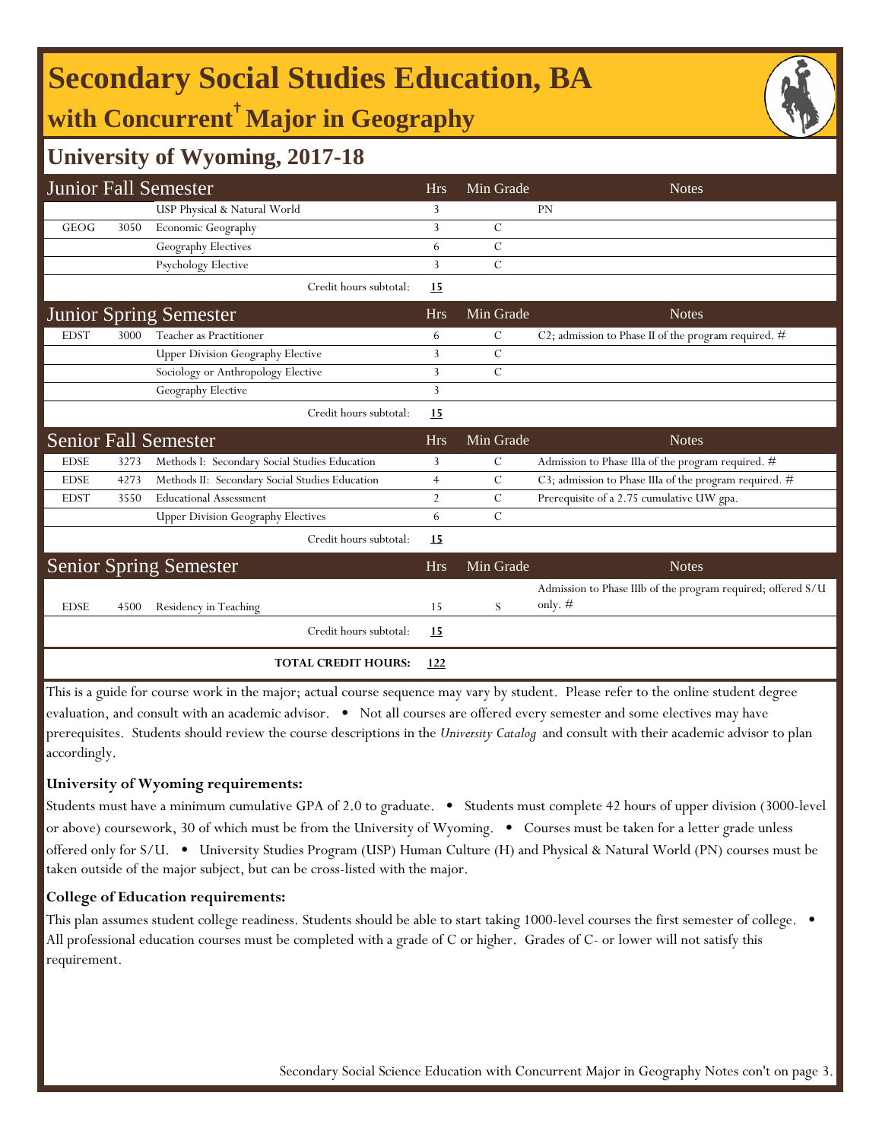# **Secondary Social Studies Education, BA**

## **with Concurrent**† **Major in Geography**



|             |      | <b>Junior Fall Semester</b>                    | <b>Hrs</b>     | Min Grade     | <b>Notes</b>                                                 |
|-------------|------|------------------------------------------------|----------------|---------------|--------------------------------------------------------------|
|             |      | USP Physical & Natural World                   | 3              |               | <b>PN</b>                                                    |
| <b>GEOG</b> | 3050 | Economic Geography                             | 3              | $\mathcal{C}$ |                                                              |
|             |      | Geography Electives                            | 6              | $\mathcal{C}$ |                                                              |
|             |      | Psychology Elective                            | 3              | $\mathcal{C}$ |                                                              |
|             |      | Credit hours subtotal:                         | <u>15</u>      |               |                                                              |
|             |      | <b>Junior Spring Semester</b>                  | <b>Hrs</b>     | Min Grade     | <b>Notes</b>                                                 |
| <b>EDST</b> | 3000 | Teacher as Practitioner                        | 6              | C             | C2; admission to Phase II of the program required. $#$       |
|             |      | <b>Upper Division Geography Elective</b>       | 3              | C             |                                                              |
|             |      | Sociology or Anthropology Elective             | 3              | $\mathcal{C}$ |                                                              |
|             |      | Geography Elective                             | 3              |               |                                                              |
|             |      | Credit hours subtotal:                         | 15             |               |                                                              |
|             |      |                                                |                |               |                                                              |
|             |      | <b>Senior Fall Semester</b>                    | <b>Hrs</b>     | Min Grade     | <b>Notes</b>                                                 |
| <b>EDSE</b> | 3273 | Methods I: Secondary Social Studies Education  | 3              | С             | Admission to Phase IIIa of the program required. #           |
| <b>EDSE</b> | 4273 | Methods II: Secondary Social Studies Education | $\overline{4}$ | C             | C3; admission to Phase IIIa of the program required. #       |
| <b>EDST</b> | 3550 | <b>Educational Assessment</b>                  | $\overline{2}$ | $\mathcal{C}$ | Prerequisite of a 2.75 cumulative UW gpa.                    |
|             |      | <b>Upper Division Geography Electives</b>      | 6              | $\mathcal{C}$ |                                                              |
|             |      | Credit hours subtotal:                         | <u>15</u>      |               |                                                              |
|             |      | <b>Senior Spring Semester</b>                  | <b>Hrs</b>     | Min Grade     | <b>Notes</b>                                                 |
|             |      |                                                |                |               | Admission to Phase IIIb of the program required; offered S/U |
| <b>EDSE</b> | 4500 | Residency in Teaching                          | 15             | S             | only. $#$                                                    |
|             |      | Credit hours subtotal:                         | 15             |               |                                                              |

This is a guide for course work in the major; actual course sequence may vary by student. Please refer to the online student degree evaluation, and consult with an academic advisor. • Not all courses are offered every semester and some electives may have prerequisites. Students should review the course descriptions in the *University Catalog* and consult with their academic advisor to plan accordingly.

#### **University of Wyoming requirements:**

Students must have a minimum cumulative GPA of 2.0 to graduate. • Students must complete 42 hours of upper division (3000-level or above) coursework, 30 of which must be from the University of Wyoming. • Courses must be taken for a letter grade unless offered only for S/U. • University Studies Program (USP) Human Culture (H) and Physical & Natural World (PN) courses must be taken outside of the major subject, but can be cross-listed with the major.

#### **College of Education requirements:**

This plan assumes student college readiness. Students should be able to start taking 1000-level courses the first semester of college. All professional education courses must be completed with a grade of C or higher. Grades of C- or lower will not satisfy this requirement.